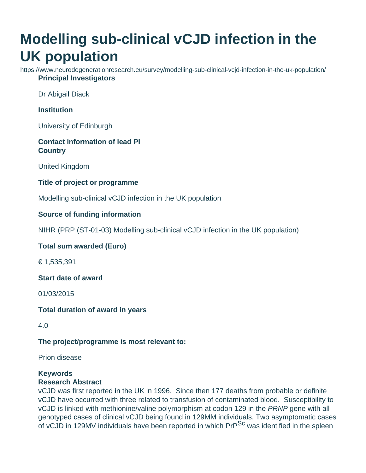# **Modelling sub-clinical vCJD infection in the UK population**

https://www.neurodegenerationresearch.eu/survey/modelling-sub-clinical-vcjd-infection-in-the-uk-population/ **Principal Investigators**

Dr Abigail Diack

#### **Institution**

University of Edinburgh

## **Contact information of lead PI Country**

United Kingdom

### **Title of project or programme**

Modelling sub-clinical vCJD infection in the UK population

### **Source of funding information**

NIHR (PRP (ST-01-03) Modelling sub-clinical vCJD infection in the UK population)

#### **Total sum awarded (Euro)**

€ 1,535,391

**Start date of award**

01/03/2015

#### **Total duration of award in years**

4.0

#### **The project/programme is most relevant to:**

Prion disease

# **Keywords**

#### **Research Abstract**

vCJD was first reported in the UK in 1996. Since then 177 deaths from probable or definite vCJD have occurred with three related to transfusion of contaminated blood. Susceptibility to vCJD is linked with methionine/valine polymorphism at codon 129 in the PRNP gene with all genotyped cases of clinical vCJD being found in 129MM individuals. Two asymptomatic cases of vCJD in 129MV individuals have been reported in which PrP<sup>Sc</sup> was identified in the spleen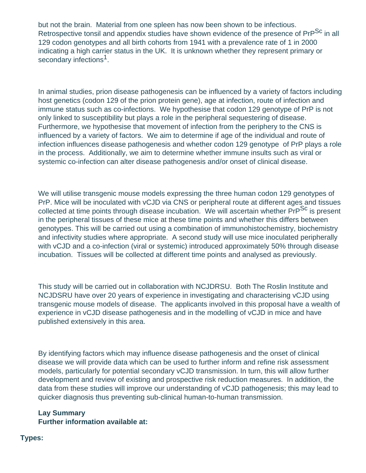but not the brain. Material from one spleen has now been shown to be infectious. Retrospective tonsil and appendix studies have shown evidence of the presence of PrP<sup>Sc</sup> in all 129 codon genotypes and all birth cohorts from 1941 with a prevalence rate of 1 in 2000 indicating a high carrier status in the UK. It is unknown whether they represent primary or secondary infections<sup>1</sup>.

In animal studies, prion disease pathogenesis can be influenced by a variety of factors including host genetics (codon 129 of the prion protein gene), age at infection, route of infection and immune status such as co-infections. We hypothesise that codon 129 genotype of PrP is not only linked to susceptibility but plays a role in the peripheral sequestering of disease. Furthermore, we hypothesise that movement of infection from the periphery to the CNS is influenced by a variety of factors. We aim to determine if age of the individual and route of infection influences disease pathogenesis and whether codon 129 genotype of PrP plays a role in the process. Additionally, we aim to determine whether immune insults such as viral or systemic co-infection can alter disease pathogenesis and/or onset of clinical disease.

We will utilise transgenic mouse models expressing the three human codon 129 genotypes of PrP. Mice will be inoculated with vCJD via CNS or peripheral route at different ages and tissues collected at time points through disease incubation. We will ascertain whether PrP<sup>Sc</sup> is present in the peripheral tissues of these mice at these time points and whether this differs between genotypes. This will be carried out using a combination of immunohistochemistry, biochemistry and infectivity studies where appropriate. A second study will use mice inoculated peripherally with vCJD and a co-infection (viral or systemic) introduced approximately 50% through disease incubation. Tissues will be collected at different time points and analysed as previously.

This study will be carried out in collaboration with NCJDRSU. Both The Roslin Institute and NCJDSRU have over 20 years of experience in investigating and characterising vCJD using transgenic mouse models of disease. The applicants involved in this proposal have a wealth of experience in vCJD disease pathogenesis and in the modelling of vCJD in mice and have published extensively in this area.

By identifying factors which may influence disease pathogenesis and the onset of clinical disease we will provide data which can be used to further inform and refine risk assessment models, particularly for potential secondary vCJD transmission. In turn, this will allow further development and review of existing and prospective risk reduction measures. In addition, the data from these studies will improve our understanding of vCJD pathogenesis; this may lead to quicker diagnosis thus preventing sub-clinical human-to-human transmission.

#### **Lay Summary Further information available at:**

#### **Types:**